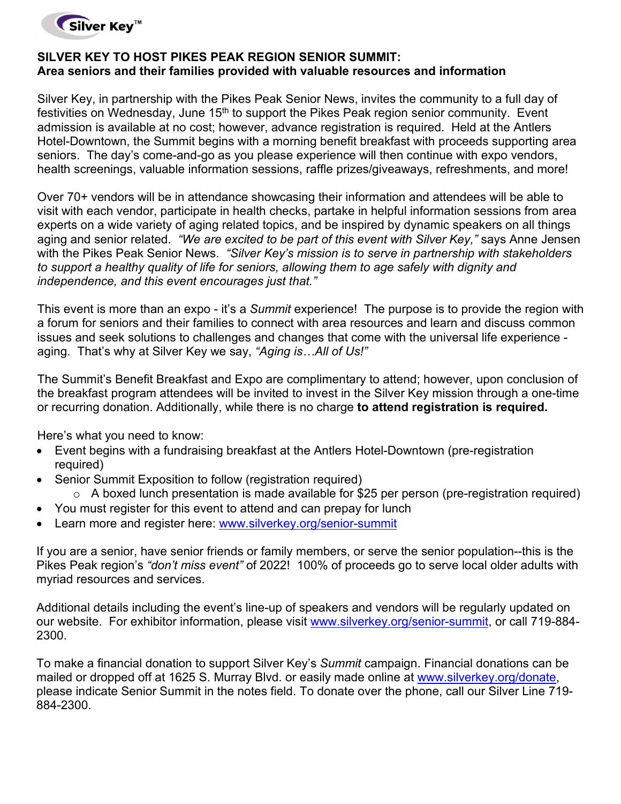

## **SILVER KEY TO HOST PIKES PEAK REGION SENIOR SUMMIT: Area seniors and their families provided with valuable resources and information**

Silver Key, in partnership with the Pikes Peak Senior News, invites the community to a full day of festivities on Wednesday, June 15<sup>th</sup> to support the Pikes Peak region senior community. Event admission is available at no cost; however, advance registration is required. Held at the Antlers Hotel-Downtown, the Summit begins with a morning benefit breakfast with proceeds supporting area seniors. The day's come-and-go as you please experience will then continue with expo vendors, health screenings, valuable information sessions, raffle prizes/giveaways, refreshments, and more!

Over 70+ vendors will be in attendance showcasing their information and attendees will be able to visit with each vendor, participate in health checks, partake in helpful information sessions from area experts on a wide variety of aging related topics, and be inspired by dynamic speakers on all things aging and senior related. *"We are excited to be part of this event with Silver Key,"* says Anne Jensen with the Pikes Peak Senior News. *"Silver Key's mission is to serve in partnership with stakeholders to support a healthy quality of life for seniors, allowing them to age safely with dignity and independence, and this event encourages just that."*

This event is more than an expo - it's a *Summit* experience! The purpose is to provide the region with a forum for seniors and their families to connect with area resources and learn and discuss common issues and seek solutions to challenges and changes that come with the universal life experience aging. That's why at Silver Key we say, *"Aging is…All of Us!"*

The Summit's Benefit Breakfast and Expo are complimentary to attend; however, upon conclusion of the breakfast program attendees will be invited to invest in the Silver Key mission through a one-time or recurring donation. Additionally, while there is no charge **to attend registration is required.**

Here's what you need to know:

- Event begins with a fundraising breakfast at the Antlers Hotel-Downtown (pre-registration required)
- Senior Summit Exposition to follow (registration required)
	- $\circ$  A boxed lunch presentation is made available for \$25 per person (pre-registration required)
- You must register for this event to attend and can prepay for lunch
- Learn more and register here: [www.silverkey.org/senior-summit](http://www.silverkey.org/senior-summit)

If you are a senior, have senior friends or family members, or serve the senior population--this is the Pikes Peak region's *"don't miss event"* of 2022! 100% of proceeds go to serve local older adults with myriad resources and services.

Additional details including the event's line-up of speakers and vendors will be regularly updated on our website. For exhibitor information, please visit [www.silverkey.org/senior-summit,](http://www.silverkey.org/senior-summit) or call 719-884- 2300.

To make a financial donation to support Silver Key's *Summit* campaign. Financial donations can be mailed or dropped off at 1625 S. Murray Blvd. or easily made online at [www.silverkey.org/donate,](http://www.silverkey.org/donate/) please indicate Senior Summit in the notes field. To donate over the phone, call our Silver Line 719- 884-2300.